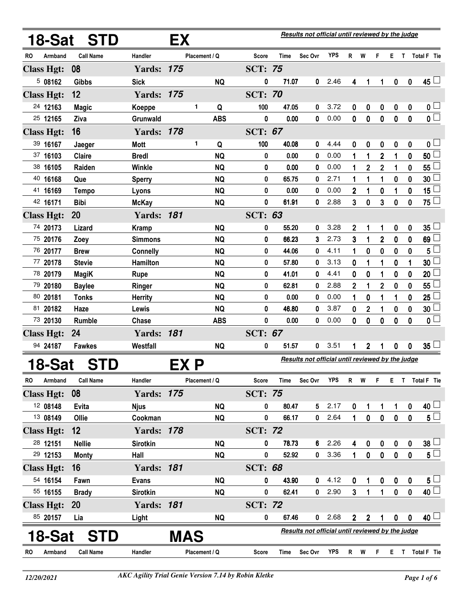|                      | 18-Sat STD       |                   | EX            |            |                |             | Results not official until reviewed by the judge |            |                |                |                         |                  |              |                 |
|----------------------|------------------|-------------------|---------------|------------|----------------|-------------|--------------------------------------------------|------------|----------------|----------------|-------------------------|------------------|--------------|-----------------|
| Armband<br>RO        | <b>Call Name</b> | Handler           | Placement / Q |            | Score          | <b>Time</b> | Sec Ovr                                          | <b>YPS</b> | R              | W              | F                       | Е.               |              | T Total F Tie   |
| <b>Class Hgt:</b>    | 08               | <b>Yards: 175</b> |               |            | <b>SCT: 75</b> |             |                                                  |            |                |                |                         |                  |              |                 |
| 508162               | <b>Gibbs</b>     | <b>Sick</b>       |               | <b>NQ</b>  | 0              | 71.07       | $\mathbf{0}$                                     | 2.46       | 4              | 1              | 1                       | $\boldsymbol{0}$ | $\mathbf 0$  | $45 -$          |
| <b>Class Hgt:</b>    | 12               | <b>Yards: 175</b> |               |            | <b>SCT: 70</b> |             |                                                  |            |                |                |                         |                  |              |                 |
| 24 12163             | <b>Magic</b>     | Koeppe            | 1             | Q          | 100            | 47.05       | 0                                                | 3.72       | 0              | 0              | 0                       | $\pmb{0}$        | 0            | 0 <sub>0</sub>  |
| 25 12165             | Ziva             | Grunwald          |               | <b>ABS</b> | 0              | 0.00        | 0                                                | 0.00       | 0              | $\bf{0}$       | $\mathbf 0$             | 0                | 0            | $\overline{0}$  |
| <b>Class Hgt:</b>    | 16               | <b>Yards: 178</b> |               |            | <b>SCT: 67</b> |             |                                                  |            |                |                |                         |                  |              |                 |
| 39 16167             | Jaeger           | <b>Mott</b>       | 1             | Q          | 100            | 40.08       | 0                                                | 4.44       | 0              | 0              | 0                       | 0                | 0            | 0 <sub>1</sub>  |
| 37 16103             | Claire           | <b>Bredl</b>      |               | <b>NQ</b>  | 0              | 0.00        | 0                                                | 0.00       | 1              | 1              | $\mathbf 2$             | 1                | 0            | $50\perp$       |
| 38 16105             | Raiden           | Winkle            |               | <b>NQ</b>  | 0              | 0.00        | 0                                                | 0.00       | 1              | $\mathbf 2$    | 2                       | 1                | 0            | 55 $\lfloor$    |
| 40 16168             | Que              | <b>Sperry</b>     |               | <b>NQ</b>  | 0              | 65.75       | 0                                                | 2.71       | 1              | 1              | 1                       | 0                | 0            | 30              |
| 41 16169             | <b>Tempo</b>     | Lyons             |               | <b>NQ</b>  | 0              | 0.00        | 0                                                | 0.00       | 2              | 1              | 0                       | 1                | 0            | 15 $\lfloor$    |
| 42 16171             | <b>Bibi</b>      | <b>McKay</b>      |               | <b>NQ</b>  | 0              | 61.91       | 0                                                | 2.88       | 3              | 0              | 3                       | 0                | 0            | 75 $\Box$       |
| <b>Class Hgt:</b>    | 20               | <b>Yards: 181</b> |               |            | <b>SCT: 63</b> |             |                                                  |            |                |                |                         |                  |              |                 |
| 74 20173             | Lizard           | <b>Kramp</b>      |               | <b>NQ</b>  | 0              | 55.20       | 0                                                | 3.28       | 2              | 1              | 1                       | 0                | 0            | $35\lceil$      |
| 75 20176             | Zoey             | <b>Simmons</b>    |               | <b>NQ</b>  | 0              | 66.23       | 3                                                | 2.73       | 3              | 1              | $\overline{\mathbf{2}}$ | 0                | 0            | 69              |
| 76 20177             | <b>Brew</b>      | <b>Connelly</b>   |               | <b>NQ</b>  | 0              | 44.06       | 0                                                | 4.11       | 1              | 0              | 0                       | 0                | 0            | 5               |
| 77 20178             | <b>Stevie</b>    | Hamilton          |               | <b>NQ</b>  | 0              | 57.80       | 0                                                | 3.13       | 0              | 1              | 1                       | 0                | 1            | 30              |
| 78 20179             | <b>MagiK</b>     | Rupe              |               | <b>NQ</b>  | 0              | 41.01       | 0                                                | 4.41       | 0              | 0              | 1                       | 0                | 0            | 20              |
| 79 20180             | <b>Baylee</b>    | Ringer            |               | <b>NQ</b>  | 0              | 62.81       | 0                                                | 2.88       | 2              | 1              | $\overline{2}$          | 0                | 0            | 55              |
| 80 20181             | <b>Tonks</b>     | <b>Herrity</b>    |               | <b>NQ</b>  | 0              | 0.00        | 0                                                | 0.00       | 1              | 0              | 1                       | 1                | 0            | 25              |
| 81 20182             | Haze             | Lewis             |               | <b>NQ</b>  | 0              | 46.80       | 0                                                | 3.87       | 0              | $\overline{2}$ | 1                       | 0                | 0            | 30              |
| 73 20130             | Rumble           | Chase             |               | <b>ABS</b> | $\mathbf 0$    | 0.00        | 0                                                | 0.00       | 0              | $\bf{0}$       | 0                       | 0                | 0            | $\mathbf{0}$    |
| <b>Class Hgt:</b>    | 24               | <b>Yards: 181</b> |               |            | <b>SCT: 67</b> |             |                                                  |            |                |                |                         |                  |              |                 |
| 94 24187             | <b>Fawkes</b>    | Westfall          |               | <b>NQ</b>  | 0              | 51.57       | 0                                                | 3.51       | 1              | $\mathbf 2$    | 1                       | 0                | 0            | $35\perp$       |
| 18-Sat               | <b>STD</b>       |                   | EX P          |            |                |             | Results not official until reviewed by the judge |            |                |                |                         |                  |              |                 |
| Armband<br><b>RO</b> | <b>Call Name</b> | Handler           | Placement / Q |            | <b>Score</b>   | Time        | Sec Ovr                                          | YPS        | R              | W              | F                       | Е.               |              | T Total F Tie   |
| <b>Class Hgt:</b>    | 08               | <b>Yards: 175</b> |               |            | <b>SCT: 75</b> |             |                                                  |            |                |                |                         |                  |              |                 |
| 12 08148             | Evita            | <b>Njus</b>       |               | <b>NQ</b>  | 0              | 80.47       | 5                                                | 2.17       | 0              | 1              | 1                       | 1                | 0            | $40\perp$       |
| 13 08149             | Ollie            | Cookman           |               | <b>NQ</b>  | 0              | 66.17       | $\mathbf{0}$                                     | 2.64       | 1              | 0              | $\mathbf 0$             | $\mathbf 0$      | $\mathbf{0}$ | $5^{\square}$   |
| <b>Class Hgt:</b>    | 12               | <b>Yards: 178</b> |               |            | <b>SCT: 72</b> |             |                                                  |            |                |                |                         |                  |              |                 |
| 28 12151             | <b>Nellie</b>    | <b>Sirotkin</b>   |               | <b>NQ</b>  | 0              | 78.73       | 6                                                | 2.26       | 4              | 0              | 0                       | 0                | 0            | $38\perp$       |
| 29 12153             | <b>Monty</b>     | Hall              |               | <b>NQ</b>  | 0              | 52.92       | $\mathbf{0}$                                     | 3.36       | 1              | 0              | $\mathbf 0$             | $\mathbf 0$      | $\mathbf 0$  | $5^{\square}$   |
| <b>Class Hgt:</b>    | 16               | <b>Yards: 181</b> |               |            | <b>SCT: 68</b> |             |                                                  |            |                |                |                         |                  |              |                 |
| 54 16154             | Fawn             | <b>Evans</b>      |               | <b>NQ</b>  | 0              | 43.90       | 0                                                | 4.12       | 0              | 1              | $\boldsymbol{0}$        | $\boldsymbol{0}$ | 0            | $5^{\perp}$     |
| 55 16155             | <b>Brady</b>     | <b>Sirotkin</b>   |               | <b>NQ</b>  | $\mathbf 0$    | 62.41       | $\mathbf 0$                                      | 2.90       | $\overline{3}$ | $\mathbf{1}$   | $\mathbf{1}$            | $\mathbf 0$      | $\mathbf{0}$ | $40$ $\Box$     |
| <b>Class Hgt:</b>    | <b>20</b>        | <b>Yards: 181</b> |               |            | <b>SCT: 72</b> |             |                                                  |            |                |                |                         |                  |              |                 |
| 85 20157             | Lia              | Light             |               | <b>NQ</b>  | 0              | 67.46       | 0                                                | 2.68       | $\overline{2}$ | $\mathbf 2$    | 1                       | $\boldsymbol{0}$ | 0            | 40 <sup>1</sup> |
| 18-Sat               | <b>STD</b>       |                   | MAS           |            |                |             | Results not official until reviewed by the judge |            |                |                |                         |                  |              |                 |
| Armband<br>RO.       | <b>Call Name</b> | Handler           | Placement / Q |            | Score          | Time        | Sec Ovr                                          | YPS        |                | R W F          |                         |                  |              | E T Total F Tie |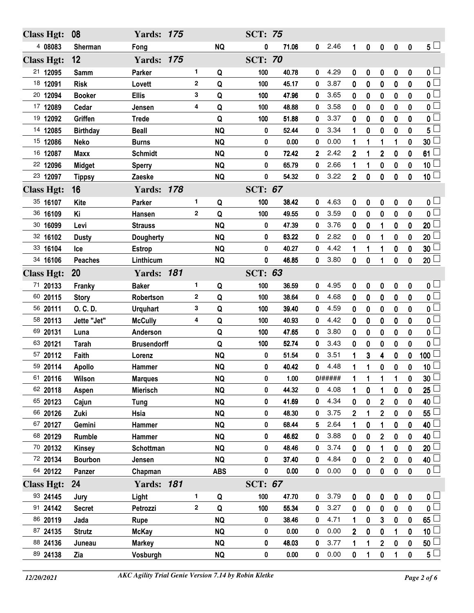| <b>Class Hgt:</b> | 08              | <b>Yards: 175</b>  |   |            | <b>SCT: 75</b> |       |              |        |                |                  |                  |                  |              |                                |
|-------------------|-----------------|--------------------|---|------------|----------------|-------|--------------|--------|----------------|------------------|------------------|------------------|--------------|--------------------------------|
| 4 08083           | Sherman         | Fong               |   | <b>NQ</b>  | 0              | 71.06 | 0            | 2.46   | 1              | $\pmb{0}$        | $\pmb{0}$        | $\boldsymbol{0}$ | $\bf{0}$     | $5\perp$                       |
| <b>Class Hgt:</b> | 12              | <b>Yards: 175</b>  |   |            | <b>SCT: 70</b> |       |              |        |                |                  |                  |                  |              |                                |
| 21 12095          | Samm            | <b>Parker</b>      | 1 | Q          | 100            | 40.78 | 0            | 4.29   | 0              | 0                | 0                | $\bf{0}$         | 0            | 0 <sub>1</sub>                 |
| 18 12091          | <b>Risk</b>     | Lovett             | 2 | Q          | 100            | 45.17 | 0            | 3.87   | 0              | $\bf{0}$         | 0                | 0                | 0            | $\overline{\mathbf{0}}$        |
| 20 12094          | <b>Booker</b>   | <b>Ellis</b>       | 3 | Q          | 100            | 47.96 | 0            | 3.65   | $\bf{0}$       | $\bf{0}$         | $\bf{0}$         | $\bf{0}$         | 0            | $\mathbf{0}$                   |
| 17 12089          | Cedar           | Jensen             | 4 | Q          | 100            | 48.88 | 0            | 3.58   | 0              | $\bf{0}$         | $\bf{0}$         | 0                | 0            | $\mathbf 0$                    |
| 19 12092          | Griffen         | <b>Trede</b>       |   | Q          | 100            | 51.88 | 0            | 3.37   | 0              | $\bf{0}$         | $\boldsymbol{0}$ | $\bf{0}$         | 0            | $\mathbf{0}$                   |
| 14 12085          | <b>Birthday</b> | <b>Beall</b>       |   | <b>NQ</b>  | 0              | 52.44 | 0            | 3.34   | 1              | $\bf{0}$         | $\bf{0}$         | $\bf{0}$         | 0            | 5                              |
| 15 12086          | <b>Neko</b>     | <b>Burns</b>       |   | <b>NQ</b>  | 0              | 0.00  | 0            | 0.00   | 1              | 1                | 1                | 1                | 0            | 30                             |
| 16 12087          | <b>Maxx</b>     | <b>Schmidt</b>     |   | <b>NQ</b>  | 0              | 72.42 | $\mathbf{2}$ | 2.42   | 2              | 1                | 2                | 0                | 0            | 61                             |
| 22 12096          | <b>Midget</b>   | <b>Sperry</b>      |   | <b>NQ</b>  | 0              | 65.79 | 0            | 2.66   | 1              | 1                | 0                | $\mathbf 0$      | 0            | 10 <sub>1</sub>                |
| 23 12097          | <b>Tippsy</b>   | Zaeske             |   | <b>NQ</b>  | $\pmb{0}$      | 54.32 | 0            | 3.22   | $\overline{2}$ | $\mathbf 0$      | 0                | $\bf{0}$         | 0            | $\overline{10}$                |
| <b>Class Hgt:</b> | 16              | <b>Yards: 178</b>  |   |            | <b>SCT: 67</b> |       |              |        |                |                  |                  |                  |              |                                |
| 35 16107          | Kite            | Parker             | 1 | Q          | 100            | 38.42 | 0            | 4.63   | 0              | 0                | 0                | 0                | 0            | 0 <sub>1</sub>                 |
| 36 16109          | Κi              | Hansen             | 2 | Q          | 100            | 49.55 | 0            | 3.59   | 0              | $\bf{0}$         | 0                | 0                | 0            | $\mathbf 0$                    |
| 30 16099          | Levi            | <b>Strauss</b>     |   | <b>NQ</b>  | 0              | 47.39 | 0            | 3.76   | 0              | $\mathbf 0$      | 1                | $\mathbf 0$      | 0            | 20                             |
| 32 16102          | <b>Dusty</b>    | <b>Dougherty</b>   |   | <b>NQ</b>  | 0              | 63.22 | 0            | 2.82   | 0              | 0                | 1                | 0                | 0            | 20                             |
| 33 16104          | Ice             | <b>Estrop</b>      |   | <b>NQ</b>  | 0              | 40.27 | 0            | 4.42   | 1              | 1                | 1                | $\bf{0}$         | 0            | 30                             |
| 34 16106          | <b>Peaches</b>  | Linthicum          |   | <b>NQ</b>  | $\pmb{0}$      | 46.85 | 0            | 3.80   | 0              | $\boldsymbol{0}$ | 1                | $\mathbf 0$      | 0            | $20 \Box$                      |
| <b>Class Hgt:</b> | 20              | <b>Yards: 181</b>  |   |            | <b>SCT: 63</b> |       |              |        |                |                  |                  |                  |              |                                |
| 71 20133          | Franky          | <b>Baker</b>       | 1 | Q          | 100            | 36.59 | 0            | 4.95   | 0              | 0                | 0                | 0                | 0            | 0 <sub>1</sub>                 |
| 60 20115          | <b>Story</b>    | Robertson          | 2 | Q          | 100            | 38.64 | 0            | 4.68   | 0              | $\bf{0}$         | $\bf{0}$         | $\bf{0}$         | 0            | $\overline{0}$                 |
| 56 20111          | O. C. D.        | <b>Urquhart</b>    | 3 | Q          | 100            | 39.40 | 0            | 4.59   | 0              | $\bf{0}$         | $\bf{0}$         | $\bf{0}$         | 0            | $\mathbf{0}$                   |
| 58 20113          | Jette "Jet"     | <b>McCully</b>     | 4 | Q          | 100            | 40.93 | 0            | 4.42   | 0              | $\bf{0}$         | $\bf{0}$         | 0                | 0            | $\mathbf 0$                    |
| 69 20131          | Luna            | Anderson           |   | Q          | 100            | 47.65 | 0            | 3.80   | 0              | $\bf{0}$         | $\bf{0}$         | 0                | 0            | 0                              |
| 63 20121          | <b>Tarah</b>    | <b>Brusendorff</b> |   | Q          | 100            | 52.74 | 0            | 3.43   | 0              | 0                | 0                | 0                | 0            | 0                              |
| 57 20112          | Faith           | Lorenz             |   | <b>NQ</b>  | 0              | 51.54 | 0            | 3.51   | 1              | 3                | 4                | $\bf{0}$         | 0            | 100                            |
| 59 20114          | <b>Apollo</b>   | Hammer             |   | <b>NQ</b>  | 0              | 40.42 | 0            | 4.48   | 1              | 1                | 0                | $\bf{0}$         | 0            | 10 <sup>1</sup>                |
| 61 20116          | Wilson          | <b>Marques</b>     |   | <b>NQ</b>  | 0              | 1.00  |              | 0##### | 1              | 1                | 1                | 1                | 0            | $\overline{\phantom{0}}$<br>30 |
| 62 20118          | Aspen           | <b>Mierisch</b>    |   | <b>NQ</b>  | 0              | 44.32 | 0            | 4.08   | 1              | 0                |                  | 0                | 0            | 25                             |
| 65 20123          | Cajun           | <b>Tung</b>        |   | <b>NQ</b>  | 0              | 41.69 | 0            | 4.34   | 0              | 0                | $\mathbf 2$      | 0                | 0            | 40                             |
| 66 20126          | Zuki            | Hsia               |   | <b>NQ</b>  | 0              | 48.30 | 0            | 3.75   | 2              | 1                | $\mathbf 2$      | 0                | 0            | 55                             |
| 67 20127          | Gemini          | Hammer             |   | <b>NQ</b>  | 0              | 68.44 | 5            | 2.64   | 1              | 0                | 1                | 0                | 0            | 40                             |
| 68 20129          | <b>Rumble</b>   | Hammer             |   | <b>NQ</b>  | 0              | 46.62 | 0            | 3.88   | 0              | 0                | $\mathbf 2$      | 0                | 0            | 40                             |
| 70 20132          | <b>Kinsey</b>   | Schottman          |   | <b>NQ</b>  | 0              | 48.46 | 0            | 3.74   | 0              | $\mathbf 0$      |                  | 0                | 0            | 20                             |
| 72 20134          | <b>Bourbon</b>  | Jensen             |   | <b>NQ</b>  | 0              | 37.40 | 0            | 4.84   | 0              | 0                | 2                | 0                | 0            | 40                             |
| 64 20122          | Panzer          | Chapman            |   | <b>ABS</b> | $\pmb{0}$      | 0.00  | 0            | 0.00   | 0              | $\pmb{0}$        | $\mathbf 0$      | $\bf{0}$         | $\mathbf{0}$ | 0 <sup>2</sup>                 |
| <b>Class Hgt:</b> | 24              | <b>Yards: 181</b>  |   |            | <b>SCT: 67</b> |       |              |        |                |                  |                  |                  |              |                                |
| 93 24145          | Jury            | Light              | 1 | Q          | 100            | 47.70 | 0            | 3.79   | 0              | 0                | 0                | 0                | 0            | 0 <sub>1</sub>                 |
| 91 24142          | <b>Secret</b>   | Petrozzi           | 2 | Q          | 100            | 55.34 | 0            | 3.27   | 0              | $\bf{0}$         | $\mathbf 0$      | $\bf{0}$         | $\mathbf{0}$ | $\mathbf{0}$                   |
| 86 20119          | Jada            | Rupe               |   | <b>NQ</b>  | 0              | 38.46 | 0            | 4.71   | 1              | 0                | 3                | 0                | 0            | 65                             |
| 87 24135          | <b>Strutz</b>   | <b>McKay</b>       |   | <b>NQ</b>  | 0              | 0.00  | 0            | 0.00   | $\overline{2}$ | 0                | 0                |                  | 0            | 10 <sub>1</sub>                |
| 88 24136          | Juneau          | <b>Markey</b>      |   | <b>NQ</b>  | $\pmb{0}$      | 48.03 | 0            | 3.77   | 1              | 1                | $\overline{2}$   | 0                | 0            | 50                             |
| 89 24138          | Zia             | Vosburgh           |   | <b>NQ</b>  | $\pmb{0}$      | 0.00  | 0            | 0.00   | 0              | 1                | 0                | 1                | 0            | 5 L                            |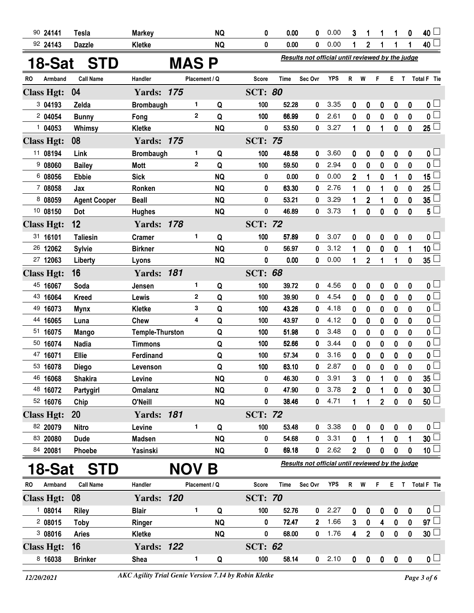|           | 90 24141          | <b>Tesla</b>        | <b>Markey</b>          |            |              | <b>NQ</b>     | 0              | 0.00        | 0                                                | 0.00       | 3              | 1            | 1              | 1                | 0           | 40                      |
|-----------|-------------------|---------------------|------------------------|------------|--------------|---------------|----------------|-------------|--------------------------------------------------|------------|----------------|--------------|----------------|------------------|-------------|-------------------------|
|           | 92 24143          | <b>Dazzle</b>       | Kletke                 |            |              | <b>NQ</b>     | 0              | 0.00        | 0                                                | 0.00       | 1              | $\mathbf{2}$ | 1              | 1                | 1           | 40 <sup>1</sup>         |
|           | 18-Sat            | <b>STD</b>          |                        | MAS P      |              |               |                |             | Results not official until reviewed by the judge |            |                |              |                |                  |             |                         |
| <b>RO</b> | Armband           | <b>Call Name</b>    | Handler                |            |              | Placement / Q | Score          | <b>Time</b> | Sec Ovr                                          | <b>YPS</b> | R              | W            | F              | E.               | T           | <b>Total F</b> Tie      |
|           | <b>Class Hgt:</b> | 04                  | <b>Yards: 175</b>      |            |              |               | <b>SCT: 80</b> |             |                                                  |            |                |              |                |                  |             |                         |
|           | 3 04193           | Zelda               | <b>Brombaugh</b>       |            | 1            | Q             | 100            | 52.28       | 0                                                | 3.35       | 0              | 0            | 0              | $\boldsymbol{0}$ | 0           | 0 <sub>1</sub>          |
|           | 2 04054           | <b>Bunny</b>        | Fong                   |            | $\mathbf{2}$ | Q             | 100            | 66.99       | $\mathbf{0}$                                     | 2.61       | 0              | 0            | 0              | 0                | 0           | $\overline{\mathbf{0}}$ |
|           | 104053            | Whimsy              | Kletke                 |            |              | <b>NQ</b>     | 0              | 53.50       | $\mathbf{0}$                                     | 3.27       | 1              | 0            | 1              | $\bf{0}$         | 0           | $25\Box$                |
|           | <b>Class Hgt:</b> | 08                  | <b>Yards: 175</b>      |            |              |               | <b>SCT: 75</b> |             |                                                  |            |                |              |                |                  |             |                         |
|           | 11 08194          | Link                | <b>Brombaugh</b>       |            | 1            | Q             | 100            | 48.58       | 0                                                | 3.60       | 0              | 0            | 0              | 0                | 0           | 0 L                     |
|           | 908060            | <b>Bailey</b>       | Mott                   |            | $\mathbf{2}$ | Q             | 100            | 59.50       | 0                                                | 2.94       | 0              | 0            | 0              | 0                | 0           | 0 <sup>1</sup>          |
|           | 6 08056           | <b>Ebbie</b>        | <b>Sick</b>            |            |              | <b>NQ</b>     | 0              | 0.00        | 0                                                | 0.00       | 2              |              | 0              | 1                | 0           | 15                      |
|           | 7 08058           | Jax                 | Ronken                 |            |              | <b>NQ</b>     | 0              | 63.30       | 0                                                | 2.76       | 1              | 0            | 1              | 0                | 0           | 25                      |
|           | 8 08059           | <b>Agent Cooper</b> | <b>Beall</b>           |            |              | <b>NQ</b>     | 0              | 53.21       | 0                                                | 3.29       | 1              | 2            | 1              | 0                | 0           | 35                      |
|           | 10 08150          | Dot                 | <b>Hughes</b>          |            |              | <b>NQ</b>     | 0              | 46.89       | 0                                                | 3.73       | 1              | 0            | 0              | 0                | 0           | $5\phantom{.0}$         |
|           | <b>Class Hgt:</b> | 12                  | <b>Yards: 178</b>      |            |              |               | <b>SCT: 72</b> |             |                                                  |            |                |              |                |                  |             |                         |
|           | 31 16101          | <b>Taliesin</b>     | <b>Cramer</b>          |            | 1            | Q             | 100            | 57.89       | 0                                                | 3.07       | 0              | 0            | 0              | 0                | 0           | 0 <sub>1</sub>          |
|           | 26 12062          | <b>Sylvie</b>       | <b>Birkner</b>         |            |              | <b>NQ</b>     | 0              | 56.97       | 0                                                | 3.12       | 1              | 0            | 0              | 0                | 1           | 10 <sup>1</sup>         |
|           | 27 12063          | Liberty             | Lyons                  |            |              | <b>NQ</b>     | 0              | 0.00        | 0                                                | 0.00       | 1              | $\mathbf 2$  | 1              | 1                | $\mathbf 0$ | $35\perp$               |
|           | <b>Class Hgt:</b> | 16                  | <b>Yards: 181</b>      |            |              |               | <b>SCT: 68</b> |             |                                                  |            |                |              |                |                  |             |                         |
|           | 45 16067          | Soda                | Jensen                 |            | 1            | Q             | 100            | 39.72       | 0                                                | 4.56       | 0              | 0            | 0              | $\boldsymbol{0}$ | 0           | $\mathbf{0}$ $\Box$     |
|           | 43 16064          | <b>Kreed</b>        | Lewis                  |            | $\mathbf{2}$ | Q             | 100            | 39.90       | 0                                                | 4.54       | $\bf{0}$       | 0            | $\bf{0}$       | 0                | 0           | $\overline{0}$          |
|           | 49 16073          | <b>Mynx</b>         | Kletke                 |            | 3            | Q             | 100            | 43.26       | 0                                                | 4.18       | 0              | 0            | 0              | 0                | 0           | 0                       |
|           | 44 16065          | Luna                | Chew                   |            | 4            | Q             | 100            | 43.97       | 0                                                | 4.12       | 0              | 0            | 0              | 0                | 0           | 0                       |
|           | 51 16075          | <b>Mango</b>        | <b>Temple-Thurston</b> |            |              | Q             | 100            | 51.98       | 0                                                | 3.48       | 0              | 0            | 0              | 0                | 0           | 0                       |
|           | 50 16074          | <b>Nadia</b>        | <b>Timmons</b>         |            |              | Q             | 100            | 52.66       | 0                                                | 3.44       | 0              | 0            | 0              | 0                | $\mathbf 0$ | 0                       |
|           | 47 16071          | <b>Ellie</b>        | Ferdinand              |            |              | Q             | 100            | 57.34       | 0                                                | 3.16       | 0              | 0            | 0              | 0                | 0           | 0                       |
|           | 53 16078          | <b>Diego</b>        | Levenson               |            |              | Q             | 100            | 63.10       | 0                                                | 2.87       | $\mathbf 0$    | 0            | $\pmb{0}$      | 0                | 0           | 0                       |
|           | 46 16068          | Shakira             | Levine                 |            |              | NQ            | 0              | 46.30       | 0                                                | 3.91       | 3              | 0            | 1              | 0                | 0           | 35                      |
|           | 48 16072          | Partygirl           | <b>Omalanz</b>         |            |              | <b>NQ</b>     | 0              | 47.90       | $\mathbf 0$                                      | 3.78       | $\overline{2}$ | $\pmb{0}$    | 1              | 0                | 0           | 30 <sub>o</sub>         |
|           | 52 16076          | Chip                | O'Neill                |            |              | <b>NQ</b>     | 0              | 38.46       | 0                                                | 4.71       | 1              | 1            | $\overline{2}$ | 0                | 0           | $50\perp$               |
|           | <b>Class Hgt:</b> | <b>20</b>           | <b>Yards: 181</b>      |            |              |               | <b>SCT: 72</b> |             |                                                  |            |                |              |                |                  |             |                         |
|           | 82 20079          | <b>Nitro</b>        | Levine                 |            | 1            | Q             | 100            | 53.48       | 0                                                | 3.38       | 0              | 0            | 0              | 0                | 0           | 0                       |
|           | 83 20080          | <b>Dude</b>         | <b>Madsen</b>          |            |              | <b>NQ</b>     | 0              | 54.68       | 0                                                | 3.31       | 0              |              | 1              | 0                | 1           | 30                      |
|           | 84 20081          | Phoebe              | Yasinski               |            |              | <b>NQ</b>     | 0              | 69.18       | 0                                                | 2.62       | $\overline{2}$ | 0            | 0              | 0                | 0           | 10 <sup>1</sup>         |
|           | 18-Sat            | <b>STD</b>          |                        | <b>NOV</b> |              | B             |                |             | Results not official until reviewed by the judge |            |                |              |                |                  |             |                         |
| RO        | Armband           | <b>Call Name</b>    | Handler                |            |              | Placement / Q | <b>Score</b>   | Time        | Sec Ovr                                          | <b>YPS</b> | R              | W            | F              | E.               | T           | Total F Tie             |
|           | <b>Class Hgt:</b> | 08                  | <b>Yards: 120</b>      |            |              |               | <b>SCT: 70</b> |             |                                                  |            |                |              |                |                  |             |                         |
|           | 108014            | <b>Riley</b>        | <b>Blair</b>           |            | 1            | Q             | 100            | 52.76       | 0                                                | 2.27       | 0              | 0            | 0              | 0                | 0           | $\mathbf{0} \sqcup$     |
|           | 208015            | <b>Toby</b>         | Ringer                 |            |              | <b>NQ</b>     | 0              | 72.47       | $\mathbf{2}$                                     | 1.66       | 3              | $\bf{0}$     | 4              | 0                | 0           | 97 <sup>1</sup>         |
|           | 308016            | <b>Aries</b>        | Kletke                 |            |              | <b>NQ</b>     | 0              | 68.00       | $\mathbf 0$                                      | 1.76       | 4              | $\mathbf{2}$ | $\pmb{0}$      | 0                | 0           | 30 <sup>1</sup>         |
|           | <b>Class Hgt:</b> | 16                  | <b>Yards: 122</b>      |            |              |               | <b>SCT: 62</b> |             |                                                  |            |                |              |                |                  |             |                         |
|           | 8 16038           | <b>Brinker</b>      | Shea                   |            | 1            | Q             | 100            | 58.14       | $\mathbf{0}$                                     | 2.10       | 0              | $\pmb{0}$    | $\bm{0}$       | $\boldsymbol{0}$ | 0           | 0 <sub>1</sub>          |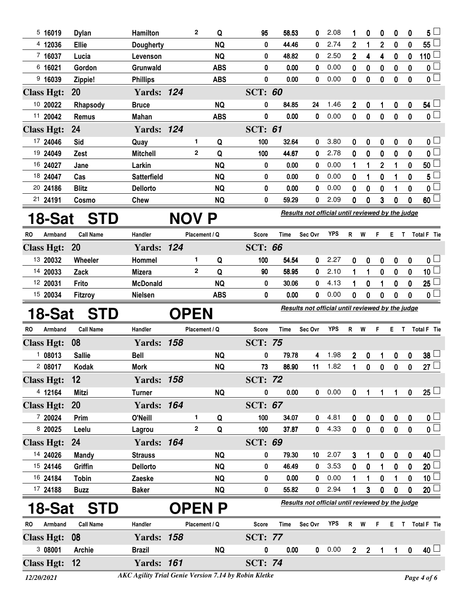|    | 5,16019           | <b>Dylan</b>     | Hamilton           |             | $\mathbf{2}$ | Q             | 95             | 58.53       | 0                                                | 2.08       | 1              | 0              | 0              | 0         | 0                | 5                       |
|----|-------------------|------------------|--------------------|-------------|--------------|---------------|----------------|-------------|--------------------------------------------------|------------|----------------|----------------|----------------|-----------|------------------|-------------------------|
|    | 4 12036           | <b>Ellie</b>     | <b>Dougherty</b>   |             |              | <b>NQ</b>     | 0              | 44.46       | 0                                                | 2.74       | 2              | 1              | $\overline{c}$ | $\bf{0}$  | 0                | 55                      |
|    | 7 16037           | Lucia            | Levenson           |             |              | <b>NQ</b>     | 0              | 48.82       | 0                                                | 2.50       | 2              | 4              | 4              | 0         | $\boldsymbol{0}$ | 110                     |
|    | 6 16021           | Gordon           | Grunwald           |             |              | <b>ABS</b>    | 0              | 0.00        | 0                                                | 0.00       | 0              | 0              | 0              | 0         | 0                | 0                       |
|    | $9$ 16039         | Zippie!          | <b>Phillips</b>    |             |              | <b>ABS</b>    | 0              | 0.00        | 0                                                | 0.00       | 0              | 0              | 0              | 0         | 0                | 0 <sub>0</sub>          |
|    | <b>Class Hgt:</b> | <b>20</b>        | <b>Yards: 124</b>  |             |              |               | <b>SCT: 60</b> |             |                                                  |            |                |                |                |           |                  |                         |
|    | 10 20022          | Rhapsody         | <b>Bruce</b>       |             |              | <b>NQ</b>     | 0              | 84.85       | 24                                               | 1.46       | 2              | 0              | 1              | 0         | 0                | 54                      |
|    | 11 20042          | Remus            | <b>Mahan</b>       |             |              | <b>ABS</b>    | 0              | 0.00        | 0                                                | 0.00       | 0              | 0              | 0              | 0         | 0                | $\overline{0}$          |
|    | <b>Class Hgt:</b> | 24               | <b>Yards: 124</b>  |             |              |               | <b>SCT: 61</b> |             |                                                  |            |                |                |                |           |                  |                         |
|    | 17 24046          | Sid              | Quay               |             | 1            | Q             | 100            | 32.64       | 0                                                | 3.80       | 0              | 0              | 0              | 0         | 0                | 0 L                     |
|    | 19 24049          | Zest             | <b>Mitchell</b>    |             | $\mathbf{2}$ | Q             | 100            | 44.67       | 0                                                | 2.78       | 0              | 0              | 0              | 0         | 0                | 0 <sup>1</sup>          |
|    | 16 24027          | Jane             | Larkin             |             |              | <b>NQ</b>     | 0              | 0.00        | 0                                                | 0.00       | 1              | 1              | 2              | 1         | 0                | 50                      |
|    | 18 24047          | Cas              | <b>Satterfield</b> |             |              | <b>NQ</b>     | 0              | 0.00        | 0                                                | 0.00       | 0              | 1              | 0              | 1         | 0                | 5                       |
|    | 20 24186          | <b>Blitz</b>     | <b>Dellorto</b>    |             |              | <b>NQ</b>     | 0              | 0.00        | 0                                                | 0.00       | 0              | 0              | 0              | 1         | 0                | 0                       |
|    | 21 24191          | Cosmo            | Chew               |             |              | <b>NQ</b>     | 0              | 59.29       | 0                                                | 2.09       | 0              | 0              | 3              | 0         | 0                | 60 <sup>1</sup>         |
|    | 18-Sat            | <b>STD</b>       |                    | NOV.        |              | P             |                |             | Results not official until reviewed by the judge |            |                |                |                |           |                  |                         |
|    |                   |                  |                    |             |              |               |                |             |                                                  |            |                |                |                |           |                  |                         |
| RO | Armband           | <b>Call Name</b> | Handler            |             |              | Placement / Q | <b>Score</b>   | <b>Time</b> | Sec Ovr                                          | <b>YPS</b> | R              | W              | F              | E.        |                  | T Total F Tie           |
|    | <b>Class Hgt:</b> | <b>20</b>        | <b>Yards: 124</b>  |             |              |               | <b>SCT: 66</b> |             |                                                  |            |                |                |                |           |                  |                         |
|    | 13 20032          | Wheeler          | Hommel             |             | 1            | Q             | 100            | 54.54       | 0                                                | 2.27       | 0              | 0              | 0              | 0         | 0                | 0 L                     |
|    | 14 20033          | Zack             | <b>Mizera</b>      |             | $\mathbf{2}$ | Q             | 90             | 58.95       | 0                                                | 2.10       | 1              | 1              | 0              | 0         | 0                | 10 <sub>1</sub>         |
|    | 12 20031          | Frito            | <b>McDonald</b>    |             |              | <b>NQ</b>     | 0              | 30.06       | 0                                                | 4.13       | 1              | 0              | 1              | 0         | 0                | 25                      |
|    | 15 20034          | Fitzroy          | <b>Nielsen</b>     |             |              | <b>ABS</b>    | 0              | 0.00        | 0                                                | 0.00       | 0              | 0              | 0              | 0         | $\bf{0}$         | 0 <sup>1</sup>          |
|    |                   |                  |                    |             |              |               |                |             |                                                  |            |                |                |                |           |                  |                         |
|    | 18-Sat            | <b>STD</b>       |                    | <b>OPEN</b> |              |               |                |             | Results not official until reviewed by the judge |            |                |                |                |           |                  |                         |
| RO | Armband           | <b>Call Name</b> | Handler            |             |              | Placement / Q | Score          | Time        | Sec Ovr                                          | <b>YPS</b> | $\mathsf{R}$   | W              | F              | E.        |                  | T Total F Tie           |
|    | <b>Class Hgt:</b> | 08               | <b>Yards: 158</b>  |             |              |               | <b>SCT: 75</b> |             |                                                  |            |                |                |                |           |                  |                         |
|    | 108013            | <b>Sallie</b>    | <b>Bell</b>        |             |              | <b>NQ</b>     | 0              | 79.78       | 4                                                | 1.98       | 2              | 0              | 1              | 0         | 0                | 38                      |
|    | 2 08017           | <b>Kodak</b>     | <b>Mork</b>        |             |              | <b>NQ</b>     | 73             | 86.90       | 11                                               | 1.82       | 1              | 0              | 0              | 0         | 0                | 27 <sup>1</sup>         |
|    | <b>Class Hgt:</b> | 12               | <b>Yards: 158</b>  |             |              |               | <b>SCT: 72</b> |             |                                                  |            |                |                |                |           |                  |                         |
|    | 4 12164           | <b>Mitzi</b>     | <b>Turner</b>      |             |              | <b>NQ</b>     | 0              | 0.00        |                                                  | 0 0.00     | 0              | 1              | 1              | 1         | $\pmb{0}$        | $25 \Box$               |
|    | <b>Class Hgt:</b> | <b>20</b>        | <b>Yards: 164</b>  |             |              |               | <b>SCT: 67</b> |             |                                                  |            |                |                |                |           |                  |                         |
|    | 7 20024           | Prim             | O'Neill            |             | 1            | Q             | 100            | 34.07       | 0                                                | 4.81       | 0              | $\mathbf 0$    | 0              | 0         | $\mathbf 0$      | $\mathfrak{o} \sqcup$   |
|    | 8 20025           | Leelu            | Lagrou             |             | $\mathbf 2$  | Q             | 100            | 37.87       | 0                                                | 4.33       | $\mathbf 0$    | $\pmb{0}$      | $\pmb{0}$      | $\pmb{0}$ | $\mathbf 0$      | $\overline{\mathbf{0}}$ |
|    | <b>Class Hgt:</b> | <b>24</b>        | <b>Yards: 164</b>  |             |              |               | <b>SCT: 69</b> |             |                                                  |            |                |                |                |           |                  |                         |
|    | 14 24026          | <b>Mandy</b>     | <b>Strauss</b>     |             |              | <b>NQ</b>     | 0              | 79.30       | 10                                               | 2.07       | 3              | 1              | 0              | 0         | 0                | 40 <sup>1</sup>         |
|    | 15 24146          | Griffin          | <b>Dellorto</b>    |             |              | <b>NQ</b>     | 0              | 46.49       | $\bf{0}$                                         | 3.53       | 0              | 0              | 1              | 0         | 0                | 20 <sup>1</sup>         |
|    | 16 24184          | <b>Tobin</b>     | Zaeske             |             |              | <b>NQ</b>     | 0              | 0.00        | 0                                                | 0.00       | 1              | 1              | 0              | 1         | 0                | 10                      |
|    | 17 24188          | <b>Buzz</b>      | <b>Baker</b>       |             |              | <b>NQ</b>     | 0              | 55.82       | 0                                                | 2.94       | 1              | 3              | $\mathbf 0$    | 0         | $\bf{0}$         | 20                      |
|    | 18-Sat            | <b>STD</b>       |                    |             |              | <b>OPENP</b>  |                |             | Results not official until reviewed by the judge |            |                |                |                |           |                  |                         |
| RO | Armband           | <b>Call Name</b> | Handler            |             |              | Placement / Q | <b>Score</b>   | Time        | Sec Ovr                                          | <b>YPS</b> | $\mathsf{R}$   | W              | F              | E.        |                  | T Total F Tie           |
|    | <b>Class Hgt:</b> | 08               | <b>Yards: 158</b>  |             |              |               | <b>SCT: 77</b> |             |                                                  |            |                |                |                |           |                  |                         |
|    | 3 08001           | <b>Archie</b>    | <b>Brazil</b>      |             |              | <b>NQ</b>     | 0              | 0.00        | 0                                                | 0.00       | 2 <sup>1</sup> | $\overline{2}$ | 1              | 1         | $\pmb{0}$        | 40 <sup>1</sup>         |

*<sup>12/20/2021</sup> Page 4 of 6 AKC Agility Trial Genie Version 7.14 by Robin Kletke*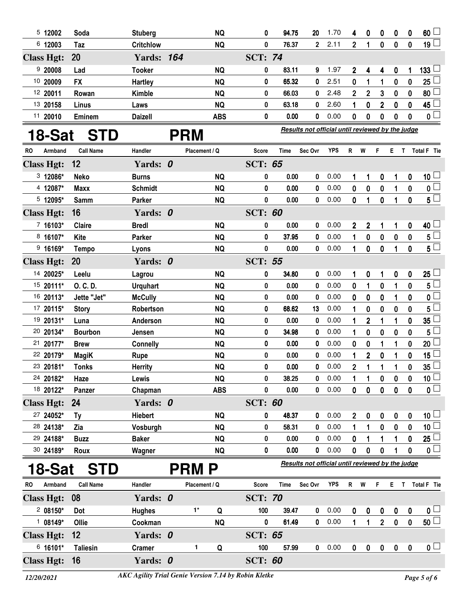| 5 12002              | Soda             | <b>Stuberg</b>    |            | <b>NQ</b>                                                   | 0              | 94.75 | 20                                               | 1.70       | 4                       | 0                | 0              | 0           | 0                | 60                      |
|----------------------|------------------|-------------------|------------|-------------------------------------------------------------|----------------|-------|--------------------------------------------------|------------|-------------------------|------------------|----------------|-------------|------------------|-------------------------|
| 6 12003              | Taz              | <b>Critchlow</b>  |            | <b>NQ</b>                                                   | 0              | 76.37 | $\overline{\mathbf{2}}$                          | 2.11       | $\overline{2}$          | 1                | $\mathbf 0$    | $\bf{0}$    | $\bf{0}$         | 19 $\Box$               |
| <b>Class Hgt:</b>    | 20               | <b>Yards: 164</b> |            |                                                             | <b>SCT: 74</b> |       |                                                  |            |                         |                  |                |             |                  |                         |
| 920008               | Lad              | <b>Tooker</b>     |            | <b>NQ</b>                                                   | 0              | 83.11 | 9                                                | 1.97       | 2                       | 4                | 4              | 0           | 1                | 133 <sup>1</sup>        |
| 10 20009             | <b>FX</b>        | Hartley           |            | <b>NQ</b>                                                   | 0              | 65.32 | 0                                                | 2.51       | 0                       | 1                | 1              | 0           | 0                | 25                      |
| 12 20011             | Rowan            | Kimble            |            | <b>NQ</b>                                                   | 0              | 66.03 | 0                                                | 2.48       | $\overline{2}$          | $\mathbf{2}$     | 3              | 0           | 0                | 80                      |
| 13 20158             | Linus            | Laws              |            | <b>NQ</b>                                                   | 0              | 63.18 | 0                                                | 2.60       | 1                       | $\bf{0}$         | $\overline{2}$ | $\bf{0}$    | $\mathbf{0}$     | 45                      |
| 11 20010             | Eminem           | <b>Daizell</b>    |            | <b>ABS</b>                                                  | 0              | 0.00  | 0                                                | 0.00       | 0                       | 0                | 0              | 0           | 0                | $\overline{\mathbf{0}}$ |
| 18-Sat               | <b>STD</b>       |                   | <b>PRM</b> |                                                             |                |       | Results not official until reviewed by the judge |            |                         |                  |                |             |                  |                         |
| <b>RO</b><br>Armband | <b>Call Name</b> | Handler           |            | Placement / Q                                               | <b>Score</b>   | Time  | Sec Ovr                                          | <b>YPS</b> | R <sub>1</sub>          | W                | F              | E T         |                  | Total F Tie             |
| <b>Class Hgt:</b>    | 12               | Yards: 0          |            |                                                             | <b>SCT: 65</b> |       |                                                  |            |                         |                  |                |             |                  |                         |
| 3 12086*             | <b>Neko</b>      | <b>Burns</b>      |            | <b>NQ</b>                                                   | 0              | 0.00  | 0                                                | 0.00       | 1                       | 1                | 0              | 1           | 0                | $10\sqcup$              |
| 4 12087*             | <b>Maxx</b>      | <b>Schmidt</b>    |            | <b>NQ</b>                                                   | 0              | 0.00  | 0                                                | 0.00       | 0                       | 0                | 0              | 1           | 0                | 0 <sub>0</sub>          |
| $5$ 12095*           | <b>Samm</b>      | Parker            |            | <b>NQ</b>                                                   | 0              | 0.00  | 0                                                | 0.00       | 0                       | 1                | 0              | 1           | 0                | $5^{\square}$           |
| <b>Class Hgt:</b>    | 16               | Yards: 0          |            |                                                             | <b>SCT: 60</b> |       |                                                  |            |                         |                  |                |             |                  |                         |
| $716103*$            | Claire           | <b>Bredl</b>      |            | <b>NQ</b>                                                   | 0              | 0.00  | 0                                                | 0.00       | $\mathbf 2$             | $\boldsymbol{2}$ | 1              | 1           | 0                | 40                      |
| 8 16107*             | Kite             | Parker            |            | <b>NQ</b>                                                   | 0              | 37.95 | 0                                                | 0.00       | 1                       | 0                | 0              | 0           | 0                | $5^{\perp}$             |
| $9.16169*$           | <b>Tempo</b>     | Lyons             |            | <b>NQ</b>                                                   | 0              | 0.00  | 0                                                | 0.00       | 1                       | 0                | 0              | 1           | 0                | $5^{\degree}$           |
| <b>Class Hgt:</b>    | 20               | Yards: 0          |            |                                                             | <b>SCT: 55</b> |       |                                                  |            |                         |                  |                |             |                  |                         |
| 14 20025*            | Leelu            | Lagrou            |            | <b>NQ</b>                                                   | 0              | 34.80 | 0                                                | 0.00       | 1                       | 0                | 1              | 0           | 0                | 25 <sup>1</sup>         |
| 15 20111*            | O. C. D.         | <b>Urquhart</b>   |            | <b>NQ</b>                                                   | 0              | 0.00  | 0                                                | 0.00       | 0                       | 1                | 0              | 1           | 0                | 5 <sup>5</sup>          |
| 16 20113*            | Jette "Jet"      | <b>McCully</b>    |            | <b>NQ</b>                                                   | 0              | 0.00  | 0                                                | 0.00       | 0                       | 0                | 0              | 1           | 0                | $\overline{\mathbf{0}}$ |
| 17 20115*            | <b>Story</b>     | Robertson         |            | <b>NQ</b>                                                   | 0              | 68.62 | 13                                               | 0.00       | 1                       | 0                | 0              | 0           | 0                | 5                       |
| 19 20131*            | Luna             | Anderson          |            | <b>NQ</b>                                                   | 0              | 0.00  | 0                                                | 0.00       | 1                       | $\overline{2}$   | 1              | 1           | 0                | 35 <sub>5</sub>         |
| 20 20134*            | <b>Bourbon</b>   | Jensen            |            | <b>NQ</b>                                                   | 0              | 34.98 | 0                                                | 0.00       | 1                       | $\bf{0}$         | 0              | 0           | 0                | 5                       |
| 21 20177*            | <b>Brew</b>      | <b>Connelly</b>   |            | <b>NQ</b>                                                   | 0              | 0.00  | 0                                                | 0.00       | 0                       | 0                | 1              | 1           | 0                | 20                      |
| 22 20179*            | <b>MagiK</b>     | <b>Rupe</b>       |            | <b>NQ</b>                                                   | 0              | 0.00  | 0                                                | 0.00       | 1                       | $\mathbf 2$      | 0              | 1           | 0                | 15                      |
| 23 20181*            | <b>Tonks</b>     | <b>Herrity</b>    |            | <b>NQ</b>                                                   | 0              | 0.00  | 0                                                | 0.00       | $\overline{\mathbf{c}}$ | 1                | 1              | 1           | 0                | 35 <sub>5</sub>         |
| 24 20182*            | Haze             | Lewis             |            | <b>NQ</b>                                                   | 0              | 38.25 | 0                                                | 0.00       | 1                       | 1                | 0              | 0           | 0                | $\overline{10}$         |
| 18 20122*            | Panzer           | Chapman           |            | <b>ABS</b>                                                  | 0              | 0.00  | 0                                                | 0.00       | 0                       | $\mathbf 0$      | 0              | $\mathbf 0$ | 0                | $\overline{\mathbf{0}}$ |
| <b>Class Hgt:</b>    | 24               | Yards: 0          |            |                                                             | <b>SCT: 60</b> |       |                                                  |            |                         |                  |                |             |                  |                         |
| 27 24052*            | Ty               | <b>Hiebert</b>    |            | <b>NQ</b>                                                   | 0              | 48.37 | 0                                                | 0.00       | 2                       | 0                | 0              | 0           | 0                | $10\perp$               |
| 28 24138*            | Zia              | Vosburgh          |            | <b>NQ</b>                                                   | 0              | 58.31 | 0                                                | 0.00       | 1                       | 1                | 0              | $\mathbf 0$ | 0                | 10 <sup>2</sup>         |
| 29 24188*            | <b>Buzz</b>      | <b>Baker</b>      |            | <b>NQ</b>                                                   | 0              | 0.00  | 0                                                | 0.00       | 0                       | 1                | 1              |             | 0                | 25                      |
| 30 24189*            | Roux             | Wagner            |            | <b>NQ</b>                                                   | 0              | 0.00  | 0                                                | 0.00       | 0                       | 0                | 0              |             | 0                | 0 <sub>1</sub>          |
| 18-Sat               | <b>STD</b>       |                   |            | <b>PRM P</b>                                                |                |       | Results not official until reviewed by the judge |            |                         |                  |                |             |                  |                         |
| Armband<br>RO.       | <b>Call Name</b> | Handler           |            | Placement / Q                                               | Score          | Time  | Sec Ovr                                          | <b>YPS</b> | R —                     | W                | F              |             |                  | E T Total F Tie         |
| <b>Class Hgt:</b>    | 08               | Yards: 0          |            |                                                             | <b>SCT: 70</b> |       |                                                  |            |                         |                  |                |             |                  |                         |
| $208150*$            | Dot              | <b>Hughes</b>     |            | $1*$<br>Q                                                   | 100            | 39.47 | 0                                                | 0.00       | 0                       | 0                | 0              | 0           | 0                | 0 <sub>1</sub>          |
| 1 08149*             | Ollie            | Cookman           |            | <b>NQ</b>                                                   | 0              | 61.49 | 0                                                | 0.00       | $\mathbf{1}$            | 1                | $\overline{2}$ | $\pmb{0}$   | $\mathbf 0$      | $50\perp$               |
| <b>Class Hgt:</b>    | 12               | Yards: 0          |            |                                                             | <b>SCT: 65</b> |       |                                                  |            |                         |                  |                |             |                  |                         |
| 6 16101*             | <b>Taliesin</b>  | <b>Cramer</b>     |            | 1<br>Q                                                      | 100            | 57.99 | 0                                                | 0.00       | 0                       | 0                | $\pmb{0}$      | $\pmb{0}$   | $\boldsymbol{0}$ | $\mathbf{0}$ $\Box$     |
| <b>Class Hgt:</b>    | 16               | Yards: 0          |            |                                                             | <b>SCT: 60</b> |       |                                                  |            |                         |                  |                |             |                  |                         |
| 12/20/2021           |                  |                   |            | <b>AKC Agility Trial Genie Version 7.14 by Robin Kletke</b> |                |       |                                                  |            |                         |                  |                |             |                  | Page 5 of 6             |